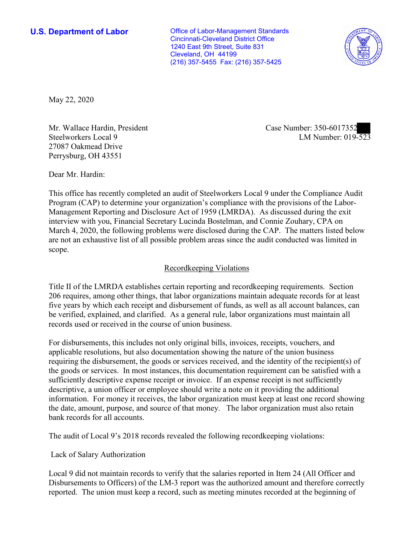Cleveland, OH 44199 **U.S. Department of Labor Conservative Conservative Conservative Conservative U.S.** Department of Labor Cincinnati-Cleveland District Office 1240 East 9th Street, Suite 831 (216) 357-5455 Fax: (216) 357-5425



May 22, 2020

Mr. Wallace Hardin, President Case Number: 350-6017352 27087 Oakmead Drive Perrysburg, OH 43551

Mr. wallace Hardin, President and Case Number: 350-6017352<br>Steelworkers Local 9 LM Number: 019-523

Dear Mr. Hardin:

 This office has recently completed an audit of Steelworkers Local 9 under the Compliance Audit Program (CAP) to determine your organization's compliance with the provisions of the Labor-Management Reporting and Disclosure Act of 1959 (LMRDA). As discussed during the exit interview with you, Financial Secretary Lucinda Bostelman, and Connie Zouhary, CPA on March 4, 2020, the following problems were disclosed during the CAP. The matters listed below are not an exhaustive list of all possible problem areas since the audit conducted was limited in scope.

#### Recordkeeping Violations

 Title II of the LMRDA establishes certain reporting and recordkeeping requirements. Section 206 requires, among other things, that labor organizations maintain adequate records for at least be verified, explained, and clarified. As a general rule, labor organizations must maintain all five years by which each receipt and disbursement of funds, as well as all account balances, can records used or received in the course of union business.

For disbursements, this includes not only original bills, invoices, receipts, vouchers, and applicable resolutions, but also documentation showing the nature of the union business requiring the disbursement, the goods or services received, and the identity of the recipient(s) of the goods or services. In most instances, this documentation requirement can be satisfied with a sufficiently descriptive expense receipt or invoice. If an expense receipt is not sufficiently descriptive, a union officer or employee should write a note on it providing the additional information. For money it receives, the labor organization must keep at least one record showing the date, amount, purpose, and source of that money. The labor organization must also retain bank records for all accounts.

The audit of Local 9's 2018 records revealed the following recordkeeping violations:

Lack of Salary Authorization

 Disbursements to Officers) of the LM-3 report was the authorized amount and therefore correctly Local 9 did not maintain records to verify that the salaries reported in Item 24 (All Officer and reported. The union must keep a record, such as meeting minutes recorded at the beginning of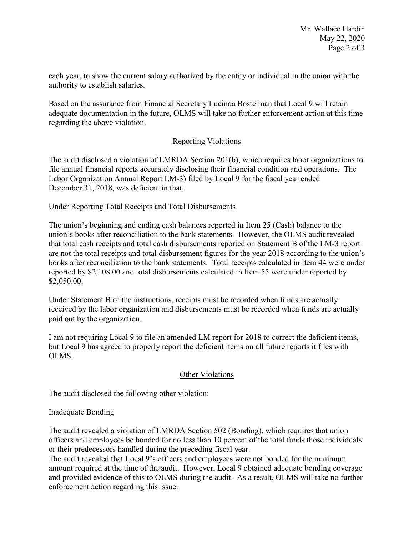each year, to show the current salary authorized by the entity or individual in the union with the authority to establish salaries.

Based on the assurance from Financial Secretary Lucinda Bostelman that Local 9 will retain adequate documentation in the future, OLMS will take no further enforcement action at this time regarding the above violation.

# Reporting Violations

 Labor Organization Annual Report LM-3) filed by Local 9 for the fiscal year ended The audit disclosed a violation of LMRDA Section 201(b), which requires labor organizations to file annual financial reports accurately disclosing their financial condition and operations. The December 31, 2018, was deficient in that:

Under Reporting Total Receipts and Total Disbursements

 The union's beginning and ending cash balances reported in Item 25 (Cash) balance to the that total cash receipts and total cash disbursements reported on Statement B of the LM-3 report are not the total receipts and total disbursement figures for the year 2018 according to the union's books after reconciliation to the bank statements. Total receipts calculated in Item 44 were under union's books after reconciliation to the bank statements. However, the OLMS audit revealed reported by \$[2,108.00](https://2,108.00) and total disbursements calculated in Item 55 were under reported by \$[2,050.00.](https://2,050.00)

 received by the labor organization and disbursements must be recorded when funds are actually Under Statement B of the instructions, receipts must be recorded when funds are actually paid out by the organization.

 I am not requiring Local 9 to file an amended LM report for 2018 to correct the deficient items, but Local 9 has agreed to properly report the deficient items on all future reports it files with OLMS.

## Other Violations

The audit disclosed the following other violation:

## Inadequate Bonding

The audit revealed a violation of LMRDA Section 502 (Bonding), which requires that union officers and employees be bonded for no less than 10 percent of the total funds those individuals or their predecessors handled during the preceding fiscal year.

 amount required at the time of the audit. However, Local 9 obtained adequate bonding coverage The audit revealed that Local 9's officers and employees were not bonded for the minimum and provided evidence of this to OLMS during the audit. As a result, OLMS will take no further enforcement action regarding this issue.